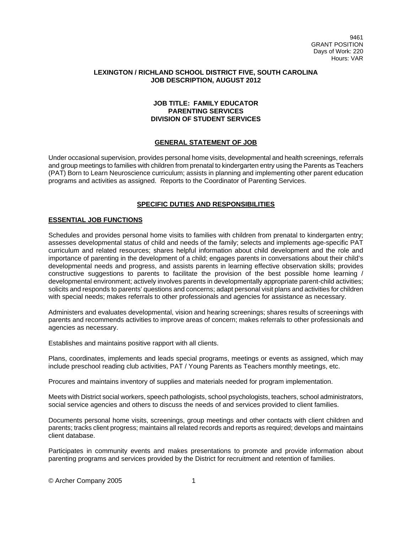# **LEXINGTON / RICHLAND SCHOOL DISTRICT FIVE, SOUTH CAROLINA JOB DESCRIPTION, AUGUST 2012**

# **JOB TITLE: FAMILY EDUCATOR PARENTING SERVICES DIVISION OF STUDENT SERVICES**

## **GENERAL STATEMENT OF JOB**

Under occasional supervision, provides personal home visits, developmental and health screenings, referrals and group meetings to families with children from prenatal to kindergarten entry using the Parents as Teachers (PAT) Born to Learn Neuroscience curriculum; assists in planning and implementing other parent education programs and activities as assigned. Reports to the Coordinator of Parenting Services.

## **SPECIFIC DUTIES AND RESPONSIBILITIES**

### **ESSENTIAL JOB FUNCTIONS**

Schedules and provides personal home visits to families with children from prenatal to kindergarten entry; assesses developmental status of child and needs of the family; selects and implements age-specific PAT curriculum and related resources; shares helpful information about child development and the role and importance of parenting in the development of a child; engages parents in conversations about their child's developmental needs and progress, and assists parents in learning effective observation skills; provides constructive suggestions to parents to facilitate the provision of the best possible home learning / developmental environment; actively involves parents in developmentally appropriate parent-child activities; solicits and responds to parents' questions and concerns; adapt personal visit plans and activities for children with special needs; makes referrals to other professionals and agencies for assistance as necessary.

Administers and evaluates developmental, vision and hearing screenings; shares results of screenings with parents and recommends activities to improve areas of concern; makes referrals to other professionals and agencies as necessary.

Establishes and maintains positive rapport with all clients.

Plans, coordinates, implements and leads special programs, meetings or events as assigned, which may include preschool reading club activities, PAT / Young Parents as Teachers monthly meetings, etc.

Procures and maintains inventory of supplies and materials needed for program implementation.

Meets with District social workers, speech pathologists, school psychologists, teachers, school administrators, social service agencies and others to discuss the needs of and services provided to client families.

Documents personal home visits, screenings, group meetings and other contacts with client children and parents; tracks client progress; maintains all related records and reports as required; develops and maintains client database.

Participates in community events and makes presentations to promote and provide information about parenting programs and services provided by the District for recruitment and retention of families.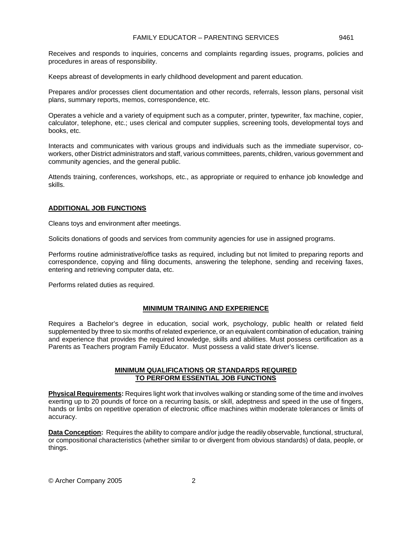Receives and responds to inquiries, concerns and complaints regarding issues, programs, policies and procedures in areas of responsibility.

Keeps abreast of developments in early childhood development and parent education.

Prepares and/or processes client documentation and other records, referrals, lesson plans, personal visit plans, summary reports, memos, correspondence, etc.

Operates a vehicle and a variety of equipment such as a computer, printer, typewriter, fax machine, copier, calculator, telephone, etc.; uses clerical and computer supplies, screening tools, developmental toys and books, etc.

Interacts and communicates with various groups and individuals such as the immediate supervisor, coworkers, other District administrators and staff, various committees, parents, children, various government and community agencies, and the general public.

Attends training, conferences, workshops, etc., as appropriate or required to enhance job knowledge and skills.

### **ADDITIONAL JOB FUNCTIONS**

Cleans toys and environment after meetings.

Solicits donations of goods and services from community agencies for use in assigned programs.

Performs routine administrative/office tasks as required, including but not limited to preparing reports and correspondence, copying and filing documents, answering the telephone, sending and receiving faxes, entering and retrieving computer data, etc.

Performs related duties as required.

#### **MINIMUM TRAINING AND EXPERIENCE**

Requires a Bachelor's degree in education, social work, psychology, public health or related field supplemented by three to six months of related experience, or an equivalent combination of education, training and experience that provides the required knowledge, skills and abilities. Must possess certification as a Parents as Teachers program Family Educator. Must possess a valid state driver's license.

### **MINIMUM QUALIFICATIONS OR STANDARDS REQUIRED TO PERFORM ESSENTIAL JOB FUNCTIONS**

**Physical Requirements:** Requires light work that involves walking or standing some of the time and involves exerting up to 20 pounds of force on a recurring basis, or skill, adeptness and speed in the use of fingers, hands or limbs on repetitive operation of electronic office machines within moderate tolerances or limits of accuracy.

**Data Conception:** Requires the ability to compare and/or judge the readily observable, functional, structural, or compositional characteristics (whether similar to or divergent from obvious standards) of data, people, or things.

© Archer Company 2005 2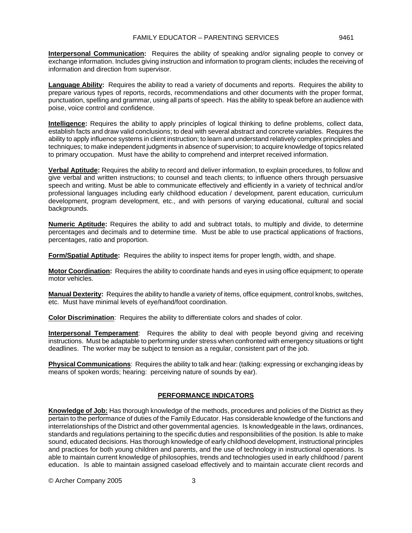**Interpersonal Communication:** Requires the ability of speaking and/or signaling people to convey or exchange information. Includes giving instruction and information to program clients; includes the receiving of information and direction from supervisor.

**Language Ability:** Requires the ability to read a variety of documents and reports. Requires the ability to prepare various types of reports, records, recommendations and other documents with the proper format, punctuation, spelling and grammar, using all parts of speech. Has the ability to speak before an audience with poise, voice control and confidence.

**Intelligence:** Requires the ability to apply principles of logical thinking to define problems, collect data, establish facts and draw valid conclusions; to deal with several abstract and concrete variables. Requires the ability to apply influence systems in client instruction; to learn and understand relatively complex principles and techniques; to make independent judgments in absence of supervision; to acquire knowledge of topics related to primary occupation. Must have the ability to comprehend and interpret received information.

**Verbal Aptitude:** Requires the ability to record and deliver information, to explain procedures, to follow and give verbal and written instructions; to counsel and teach clients; to influence others through persuasive speech and writing. Must be able to communicate effectively and efficiently in a variety of technical and/or professional languages including early childhood education / development, parent education, curriculum development, program development, etc., and with persons of varying educational, cultural and social backgrounds.

**Numeric Aptitude:** Requires the ability to add and subtract totals, to multiply and divide, to determine percentages and decimals and to determine time. Must be able to use practical applications of fractions, percentages, ratio and proportion.

**Form/Spatial Aptitude:** Requires the ability to inspect items for proper length, width, and shape.

**Motor Coordination:** Requires the ability to coordinate hands and eyes in using office equipment; to operate motor vehicles.

**Manual Dexterity:** Requires the ability to handle a variety of items, office equipment, control knobs, switches, etc. Must have minimal levels of eye/hand/foot coordination.

**Color Discrimination**: Requires the ability to differentiate colors and shades of color.

**Interpersonal Temperament**: Requires the ability to deal with people beyond giving and receiving instructions. Must be adaptable to performing under stress when confronted with emergency situations or tight deadlines. The worker may be subject to tension as a regular, consistent part of the job.

**Physical Communications**: Requires the ability to talk and hear: (talking: expressing or exchanging ideas by means of spoken words; hearing: perceiving nature of sounds by ear).

## **PERFORMANCE INDICATORS**

**Knowledge of Job:** Has thorough knowledge of the methods, procedures and policies of the District as they pertain to the performance of duties of the Family Educator. Has considerable knowledge of the functions and interrelationships of the District and other governmental agencies. Is knowledgeable in the laws, ordinances, standards and regulations pertaining to the specific duties and responsibilities of the position. Is able to make sound, educated decisions. Has thorough knowledge of early childhood development, instructional principles and practices for both young children and parents, and the use of technology in instructional operations. Is able to maintain current knowledge of philosophies, trends and technologies used in early childhood / parent education. Is able to maintain assigned caseload effectively and to maintain accurate client records and

© Archer Company 2005 3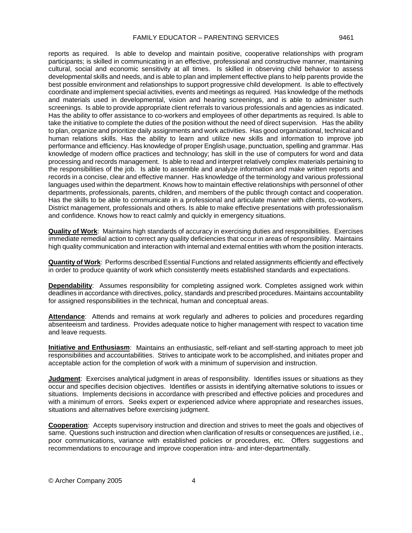reports as required. Is able to develop and maintain positive, cooperative relationships with program participants; is skilled in communicating in an effective, professional and constructive manner, maintaining cultural, social and economic sensitivity at all times. Is skilled in observing child behavior to assess developmental skills and needs, and is able to plan and implement effective plans to help parents provide the best possible environment and relationships to support progressive child development. Is able to effectively coordinate and implement special activities, events and meetings as required. Has knowledge of the methods and materials used in developmental, vision and hearing screenings, and is able to administer such screenings. Is able to provide appropriate client referrals to various professionals and agencies as indicated. Has the ability to offer assistance to co-workers and employees of other departments as required. Is able to take the initiative to complete the duties of the position without the need of direct supervision. Has the ability to plan, organize and prioritize daily assignments and work activities. Has good organizational, technical and human relations skills. Has the ability to learn and utilize new skills and information to improve job performance and efficiency. Has knowledge of proper English usage, punctuation, spelling and grammar. Has knowledge of modern office practices and technology; has skill in the use of computers for word and data processing and records management. Is able to read and interpret relatively complex materials pertaining to the responsibilities of the job. Is able to assemble and analyze information and make written reports and records in a concise, clear and effective manner. Has knowledge of the terminology and various professional languages used within the department. Knows how to maintain effective relationships with personnel of other departments, professionals, parents, children, and members of the public through contact and cooperation. Has the skills to be able to communicate in a professional and articulate manner with clients, co-workers, District management, professionals and others. Is able to make effective presentations with professionalism and confidence. Knows how to react calmly and quickly in emergency situations.

**Quality of Work**: Maintains high standards of accuracy in exercising duties and responsibilities. Exercises immediate remedial action to correct any quality deficiencies that occur in areas of responsibility. Maintains high quality communication and interaction with internal and external entities with whom the position interacts.

**Quantity of Work**: Performs described Essential Functions and related assignments efficiently and effectively in order to produce quantity of work which consistently meets established standards and expectations.

**Dependability**: Assumes responsibility for completing assigned work. Completes assigned work within deadlines in accordance with directives, policy, standards and prescribed procedures. Maintains accountability for assigned responsibilities in the technical, human and conceptual areas.

Attendance: Attends and remains at work regularly and adheres to policies and procedures regarding absenteeism and tardiness. Provides adequate notice to higher management with respect to vacation time and leave requests.

**Initiative and Enthusiasm**: Maintains an enthusiastic, self-reliant and self-starting approach to meet job responsibilities and accountabilities. Strives to anticipate work to be accomplished, and initiates proper and acceptable action for the completion of work with a minimum of supervision and instruction.

**Judgment**: Exercises analytical judgment in areas of responsibility. Identifies issues or situations as they occur and specifies decision objectives. Identifies or assists in identifying alternative solutions to issues or situations. Implements decisions in accordance with prescribed and effective policies and procedures and with a minimum of errors. Seeks expert or experienced advice where appropriate and researches issues, situations and alternatives before exercising judgment.

**Cooperation**: Accepts supervisory instruction and direction and strives to meet the goals and objectives of same. Questions such instruction and direction when clarification of results or consequences are justified, i.e., poor communications, variance with established policies or procedures, etc. Offers suggestions and recommendations to encourage and improve cooperation intra- and inter-departmentally.